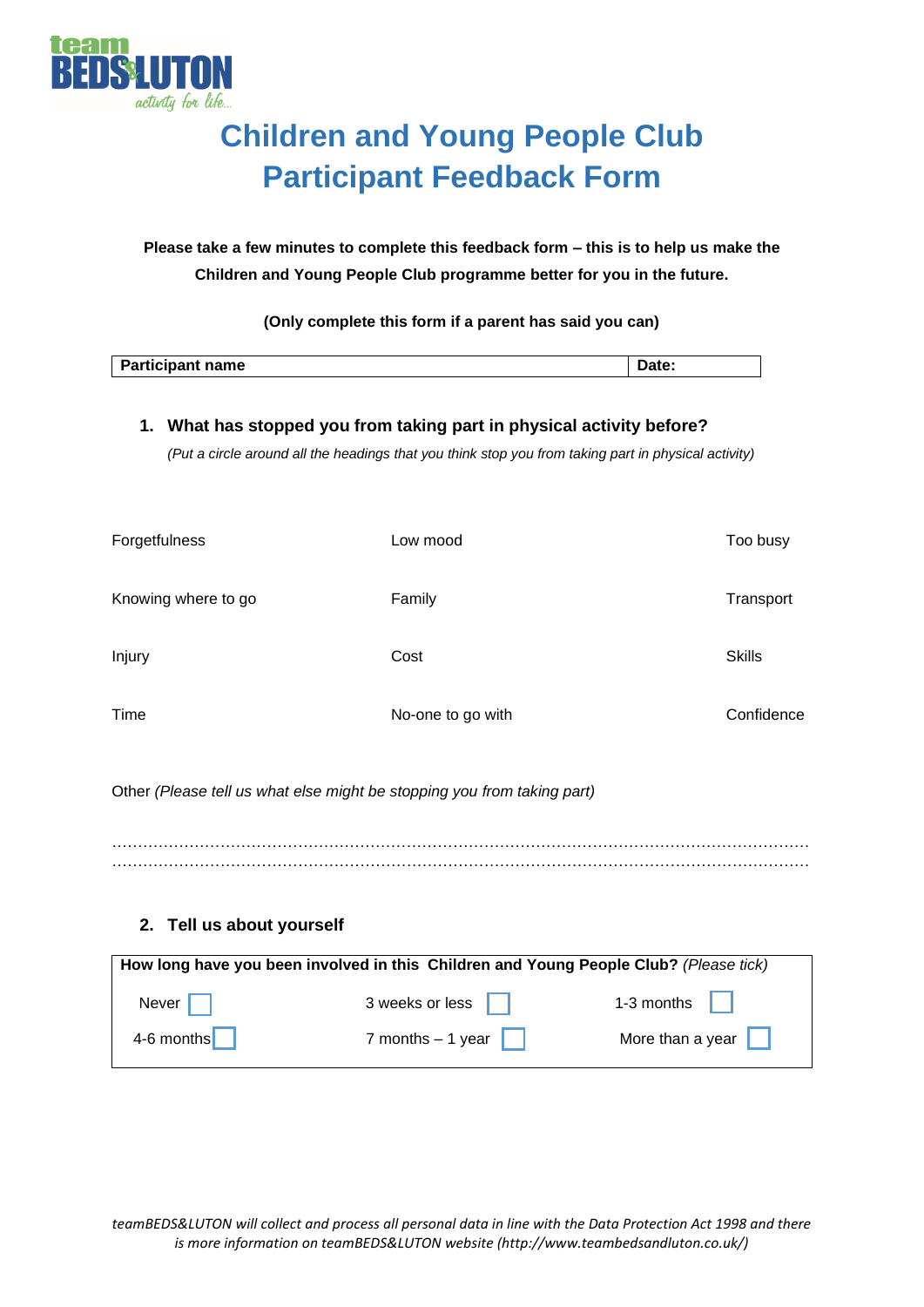

 $\overline{\phantom{a}}$ 

# **Children and Young People Club Participant Feedback Form**

**Please take a few minutes to complete this feedback form – this is to help us make the Children and Young People Club programme better for you in the future.**

**(Only complete this form if a parent has said you can)**

| <b>Participant name</b> |  |
|-------------------------|--|
|                         |  |

# **1. What has stopped you from taking part in physical activity before?**

*(Put a circle around all the headings that you think stop you from taking part in physical activity)*

| Forgetfulness       | Low mood          | Too busy      |
|---------------------|-------------------|---------------|
| Knowing where to go | Family            | Transport     |
| Injury              | Cost              | <b>Skills</b> |
| Time                | No-one to go with | Confidence    |

Other *(Please tell us what else might be stopping you from taking part)*

……………………………………………………………………………………………………………………… . The contract of the contract of the contract of the contract of the contract of the contract of the contract of the contract of the contract of the contract of the contract of the contract of the contract of the contrac

# **2. Tell us about yourself**

| How long have you been involved in this Children and Young People Club? (Please tick) |                    |                              |  |  |  |  |  |  |
|---------------------------------------------------------------------------------------|--------------------|------------------------------|--|--|--|--|--|--|
| Never $\vert \vert$                                                                   | 3 weeks or less    | 1-3 months $\vert \vert$     |  |  |  |  |  |  |
| 4-6 months                                                                            | 7 months $-1$ year | More than a year $\ \cdot\ $ |  |  |  |  |  |  |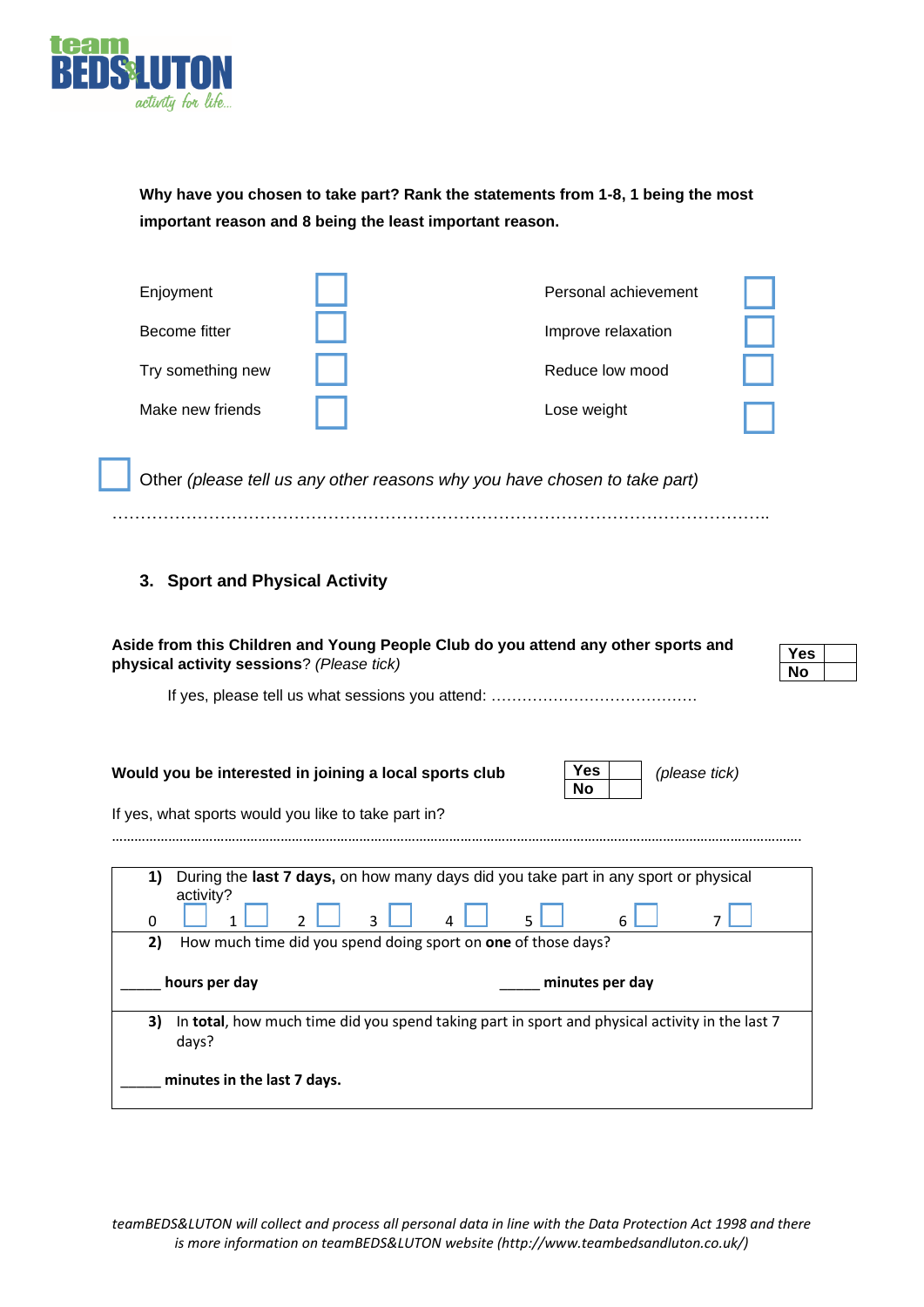

**Why have you chosen to take part? Rank the statements from 1-8, 1 being the most important reason and 8 being the least important reason.**

| Enjoyment         | Personal achievement |  |
|-------------------|----------------------|--|
| Become fitter     | Improve relaxation   |  |
| Try something new | Reduce low mood      |  |
| Make new friends  | Lose weight          |  |

Other *(please tell us any other reasons why you have chosen to take part)*

#### ……………………………………………………………………………………………………..

# **3. Sport and Physical Activity**

| Aside from this Children and Young People Club do you attend any other sports and                                                                                                                                                                             |            |  |  |  |  |
|---------------------------------------------------------------------------------------------------------------------------------------------------------------------------------------------------------------------------------------------------------------|------------|--|--|--|--|
|                                                                                                                                                                                                                                                               | <b>Yes</b> |  |  |  |  |
| physical activity sessions? (Please tick)                                                                                                                                                                                                                     | No         |  |  |  |  |
|                                                                                                                                                                                                                                                               |            |  |  |  |  |
| Yes<br>Would you be interested in joining a local sports club<br>(please tick)<br><b>No</b>                                                                                                                                                                   |            |  |  |  |  |
| If yes, what sports would you like to take part in?                                                                                                                                                                                                           |            |  |  |  |  |
| During the last 7 days, on how many days did you take part in any sport or physical<br>1)<br>activity?<br>$\overline{2}$<br>$\mathbf{0}$<br>6<br>ર<br>2)<br>How much time did you spend doing sport on one of those days?<br>hours per day<br>minutes per day |            |  |  |  |  |
| In total, how much time did you spend taking part in sport and physical activity in the last 7<br>3)<br>days?                                                                                                                                                 |            |  |  |  |  |
| minutes in the last 7 days.                                                                                                                                                                                                                                   |            |  |  |  |  |

*teamBEDS&LUTON will collect and process all personal data in line with the Data Protection Act 1998 and there is more information on teamBEDS&LUTON website (http://www.teambedsandluton.co.uk/)*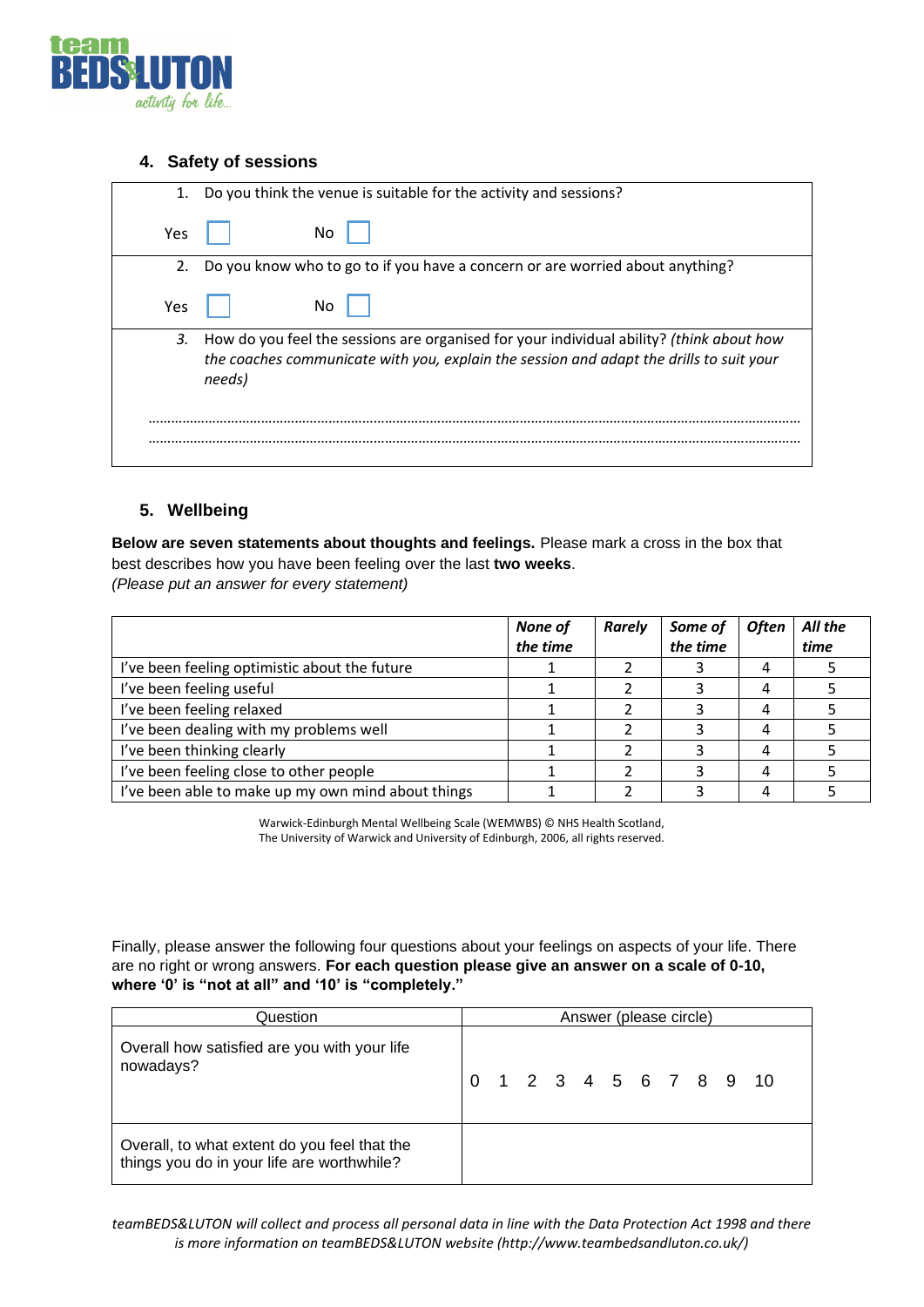

### **4. Safety of sessions**

| 1.  | Do you think the venue is suitable for the activity and sessions?                                                                                                                             |
|-----|-----------------------------------------------------------------------------------------------------------------------------------------------------------------------------------------------|
| Yes | No                                                                                                                                                                                            |
| 2.  | Do you know who to go to if you have a concern or are worried about anything?                                                                                                                 |
| Yes | No                                                                                                                                                                                            |
| 3.  | How do you feel the sessions are organised for your individual ability? (think about how<br>the coaches communicate with you, explain the session and adapt the drills to suit your<br>needs) |
|     |                                                                                                                                                                                               |

# **5. Wellbeing**

**Below are seven statements about thoughts and feelings.** Please mark a cross in the box that best describes how you have been feeling over the last **two weeks**. *(Please put an answer for every statement)*

|                                                    | None of<br>the time | <b>Rarely</b> | Some of<br>the time | <b>Often</b> | All the<br>time |
|----------------------------------------------------|---------------------|---------------|---------------------|--------------|-----------------|
| I've been feeling optimistic about the future      |                     |               |                     |              |                 |
| I've been feeling useful                           |                     |               |                     |              |                 |
| I've been feeling relaxed                          |                     |               |                     |              |                 |
| I've been dealing with my problems well            |                     |               |                     |              |                 |
| I've been thinking clearly                         |                     |               |                     |              |                 |
| I've been feeling close to other people            |                     |               |                     |              |                 |
| I've been able to make up my own mind about things |                     |               |                     |              |                 |

Warwick-Edinburgh Mental Wellbeing Scale (WEMWBS) © NHS Health Scotland, The University of Warwick and University of Edinburgh, 2006, all rights reserved.

Finally, please answer the following four questions about your feelings on aspects of your life. There are no right or wrong answers. **For each question please give an answer on a scale of 0-10, where '0' is "not at all" and '10' is "completely."**

| Question                                                                                   | Answer (please circle) |  |  |  |  |  |  |  |                        |
|--------------------------------------------------------------------------------------------|------------------------|--|--|--|--|--|--|--|------------------------|
| Overall how satisfied are you with your life<br>nowadays?                                  |                        |  |  |  |  |  |  |  | 0 1 2 3 4 5 6 7 8 9 10 |
| Overall, to what extent do you feel that the<br>things you do in your life are worthwhile? |                        |  |  |  |  |  |  |  |                        |

*teamBEDS&LUTON will collect and process all personal data in line with the Data Protection Act 1998 and there is more information on teamBEDS&LUTON website (http://www.teambedsandluton.co.uk/)*